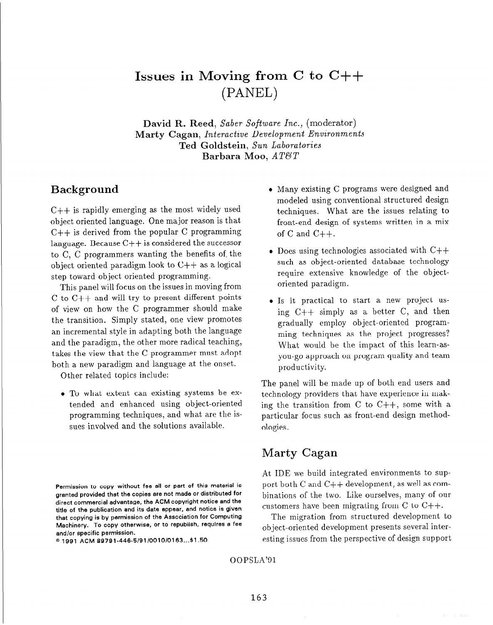# **Issues in Moving from C to C++**  (PANEL)

**David R. Reed, Saber Software** *Inc.,* (moderator) **Marty Cagan,** *Interactive Development Environments*  **Ted Goldstein,** *Sun Laboratories*  **Barbara Moo,** *AT&T* 

#### **Background**

 $C++$  is rapidly emerging as the most widely used object oriented language. One major reason is that  $C++$  is derived from the popular C programming language. Because  $C++$  is considered the successor to C, C programmers wanting the benefits of. the object oriented paradigm look to C++ as a logical step toward object oriented programming.

This panel will focus on the issues in moving from  $C$  to  $C++$  and will try to present different points of view on how the C programmer should make the transition. Simply stated, one view promotes an incremental style in adapting both the language and the paradigm, the other more radical teaching, takes the view that the C programmer must adopt both a, new paradigm and language at the onset.

Other related topics include:

• To what extent can existing systems be extended and enhanced using object-oriented programming techniques, and what are the issues involved and the solutions available.

**@ 1991 ACM 89791-446-5/91/0010/0163...\$1.50** 

- Many existing C programs were designed and modeled using conventional structured design techniques. What are the issues relating to front-end design of systems written in a mix of C and C++.
- Does using technologies associated with  $C++$ such as object-oriented database technology require extensive knowledge of the objectoriented paradigm.
- Is it practical to start a new project using  $C_{++}$  simply as a better C, and then gradually employ object-oriented programming techniques as the project progresses? What would be the impact of this learn-asyou-go approach on program quality and team productivity.

The panel will be made up of both end users and technology providers that have experience in making the transition from  $C$  to  $C++$ , some with a particular focus such as front-end design methodologies.

## **Marty Cagan**

At IDE we build integrated environments to support both C and  $C++$  development, as well as combinations of the two, Like ourselves, many of our customers have been migrating from  $C$  to  $C++$ .

The migration from structured development to object-oriented development presents several interesting issues from the perspective of design support

OOPSLA'91

**Permission to copy without fee all or part of this material is granted provided that the copies are not made or distributed for direct commercial advantage, the ACM copyright notice and the title of the publication and its date eppear, and notice is given that copying is by permission of the Association for Computing Machinery. To copy otherwise, or to republish, requires 8 fee and/or specific permission.**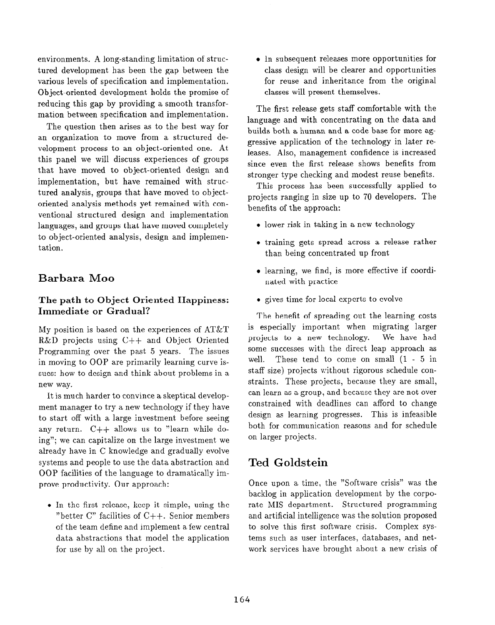environments. A long-standing limitation of structured development has been the gap between the various levels of specification and implementation. Object-oriented development holds the promise of reducing this gap by providing a smooth transformation between specification and implementation.

The question then arises as to the best way for an organization to move from a structured development process to an object-oriented one. At this panel we will discuss experiences of groups that have moved to object-oriented design and implementation, but have remained with structured analysis, groups that have moved to objectoriented analysis methods yet remained with conventional structured design and implementation languages, and groups that have moved completely to object-oriented analysis, design and implementation.

## **Barbara Moo**

#### **The path to Object Oriented Happiness: Immediate or Gradual?**

My position is based on the experiences of AT&T  $R&D$  projects using  $C++$  and Object Oriented Programming over the past 5 years. The issues in moving to OOP are primarily learning curve issues: how to design and think about problems in a new way.

It is much harder to convince a skeptical development manager to try a new technology if they have to start off with a large investment before seeing any return.  $C++$  allows us to "learn while doing"; we can capitalize on the large investment we already have in C knowledge and gradually evolve systems and people to use the data abstraction and OOP facilities of the language to dramatically improve productivity. Our approach:

 $\bullet$  In the first release, keep it simple, using the "better  $C$ " facilities of  $C++$ . Senior members of the team define and implement a few central data abstractions that model the application for use by all on the project.

 $\bullet$  In subsequent releases more opportunities for class design will be clearer and opportunities for reuse and inheritance from the original classes will present themselves.

The first release gets staff comfortable with the language and with concentrating on the data and builds both a human and a code base for more aggressive application of the technology in later releases. Also, management confidence is increased since even the first release shows benefits from stronger type checking and modest reuse benefits.

This process has been successfully applied to projects ranging in size up to 70 developers. The benefits of the approach:

- $\bullet$  lower risk in taking in a new technology
- $\bullet$  training gets spread across a release rather than being concentrated up front
- $\bullet$  learning, we find, is more effective if coordinated with practice
- $\bullet$  gives time for local experts to evolve

The benefit of spreading out the learning costs is especially important when migrating larger projects to a new technology. We have had some successes with the direct leap approach as well. These tend to come on small (1 - 5 in staff size) projects without rigorous schedule constraints. These projects, because they are small, can learn as a group, and because they are not over constrained with deadlines can afford to change design as learning progresses. This is infeasible both for communication reasons and for schedule on larger projects.

# **Ted Goldstein**

Once upon a time, the "Software crisis" was the backlog in application development by the corporate MIS department. Structured programming and artificial intelligence was the solution proposed to solve this first software crisis. Complex systems such as user interfaces, databases, and network services have brought about a new crisis of